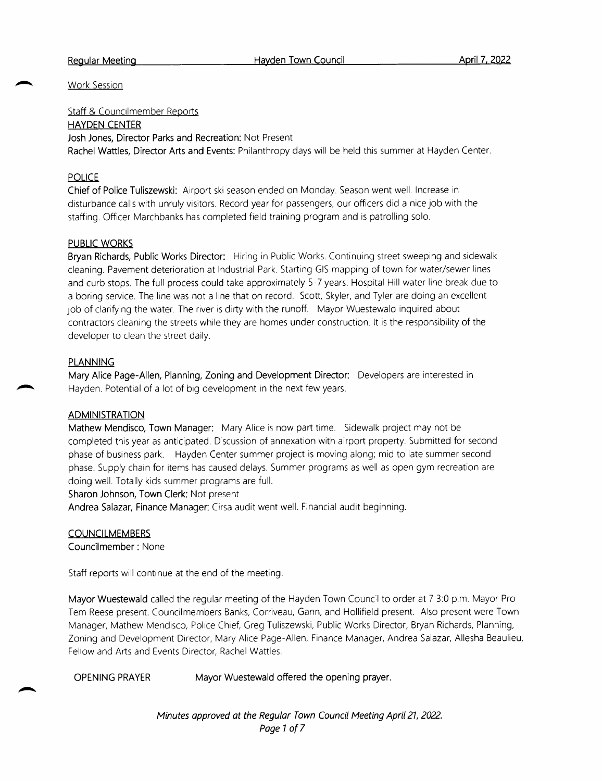#### Regular Meeting

Work Session

Staff & Councilmember Reports HAYDEN CENTER Josh Jones, Director Parks and Recreation: Not Present Rachel Wattles, Director Arts and Events: Philanthropy days will be held this summer at Hayden Center.

# POLICE

Chief of Police Tuliszewski: Airport ski season ended on Monday. Season went well. Increase in disturbance calls with unruly visitors. Record year for passengers, our officers did <sup>a</sup> nice job with the staffing. Officer Marchbanks has completed field training program and is patrolling solo.

### PUBLIC WORKS

Bryan Richards, Public Works Director: Hiring in Public Works. Continuing street sweeping and sidewalk cleaning. Pavement deterioration at Industrial Park. Starting GIS mapping of town for water/sewer lines and curb stops. The full process could take approximately 5-7 years. Hospital Hill water line break due to <sup>a</sup> boring service. The line was not <sup>a</sup> line that on record. Scott, Skyler, and Tyler are doing an excellent job of clarifying the water. The river is dirty with the runoff. Mayor Wuestewald inquired about contractors cleaning the streets while they are homes under construction. It is the responsibility of the developer to clean the street daily.

### PLANNING

Mary Alice Page-Allen, Planning, Zoning and Development Director: Developers are interested in Hayden. Potential of <sup>a</sup> lot of big development in the next few years.

#### ADMINISTRATION

Mathew Mendisco, Town Manager: Mary Alice is now part time. Sidewalk project may not be completed this year as anticipated. <sup>D</sup> scussion of annexation with airport property. Submitted for second phase of business park. Hayden Center summer project is moving along; mid to late summer second phase. Supply chain for items has caused delays. Summer programs as well as open gym recreation are doing well. Totally kids summer programs are full.

Sharon Johnson, Town Clerk: Not present

Andrea Salazar, Finance Manager: Cirsa audit went well. Financial audit beginning.

## **COUNCILMEMBERS**

Councilmember : None

Staff reports will continue at the end of the meeting.

Mayor Wuestewald called the regular meeting of the Hayden Town Council to order at 7 3:0 p.m. Mayor Pro Tem Reese present. Councilmembers Banks, Corriveau, Gann, and Hollifield present. Also present were Town Manager, Mathew Mendisco, Police Chief, Greg Tuliszewski, Public Works Director, Bryan Richards, Planning, Zoning and Development Director, Mary Alice Page -Allen, Finance Manager, Andrea Salazar, Allesha Beaulieu, Fellow and Arts and Events Director, Rachel Wattles.

OPENING PRAYER Mayor Wuestewald offered the opening prayer.

Minutes approved at the Regular Town Council Meeting April 21, 2022. Page <sup>1</sup> of 7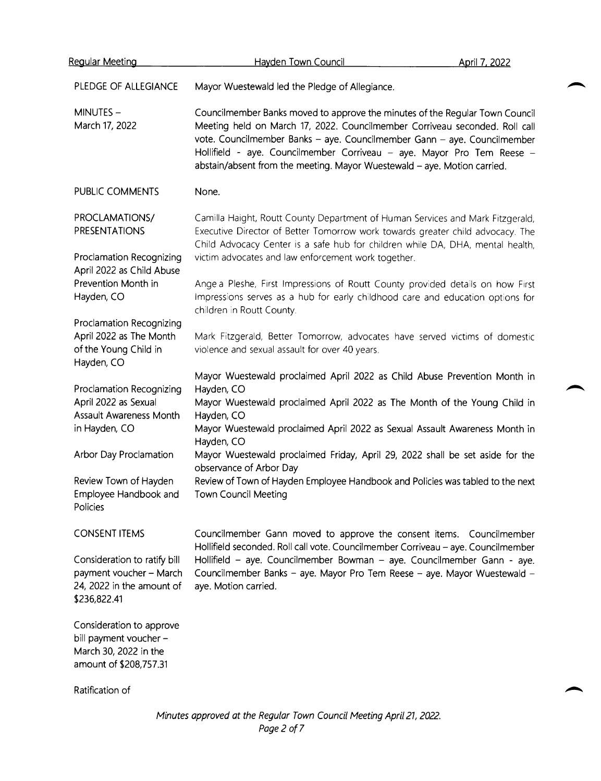| <u>Reqular Meeting</u>                                                                               | Hayden Town Council                                                                                                                                                                                                                                                                                                                                                                           | April 7, 2022 |
|------------------------------------------------------------------------------------------------------|-----------------------------------------------------------------------------------------------------------------------------------------------------------------------------------------------------------------------------------------------------------------------------------------------------------------------------------------------------------------------------------------------|---------------|
| PLEDGE OF ALLEGIANCE                                                                                 | Mayor Wuestewald led the Pledge of Allegiance.                                                                                                                                                                                                                                                                                                                                                |               |
| MINUTES-<br>March 17, 2022                                                                           | Councilmember Banks moved to approve the minutes of the Regular Town Council<br>Meeting held on March 17, 2022. Councilmember Corriveau seconded. Roll call<br>vote. Councilmember Banks - aye. Councilmember Gann - aye. Councilmember<br>Hollifield - aye. Councilmember Corriveau - aye. Mayor Pro Tem Reese -<br>abstain/absent from the meeting. Mayor Wuestewald - aye. Motion carried. |               |
| PUBLIC COMMENTS                                                                                      | None.                                                                                                                                                                                                                                                                                                                                                                                         |               |
| PROCLAMATIONS/<br><b>PRESENTATIONS</b>                                                               | Camilla Haight, Routt County Department of Human Services and Mark Fitzgerald,<br>Executive Director of Better Tomorrow work towards greater child advocacy. The<br>Child Advocacy Center is a safe hub for children while DA, DHA, mental health,                                                                                                                                            |               |
| Proclamation Recognizing<br>April 2022 as Child Abuse                                                | victim advocates and law enforcement work together.                                                                                                                                                                                                                                                                                                                                           |               |
| Prevention Month in<br>Hayden, CO                                                                    | Ange a Pleshe, First Impressions of Routt County provided details on how First<br>Impressions serves as a hub for early childhood care and education options for<br>children in Routt County.                                                                                                                                                                                                 |               |
| Proclamation Recognizing<br>April 2022 as The Month<br>of the Young Child in<br>Hayden, CO           | Mark Fitzgerald, Better Tomorrow, advocates have served victims of domestic<br>violence and sexual assault for over 40 years.                                                                                                                                                                                                                                                                 |               |
|                                                                                                      | Mayor Wuestewald proclaimed April 2022 as Child Abuse Prevention Month in                                                                                                                                                                                                                                                                                                                     |               |
| Proclamation Recognizing<br>April 2022 as Sexual<br>Assault Awareness Month                          | Hayden, CO<br>Mayor Wuestewald proclaimed April 2022 as The Month of the Young Child in<br>Hayden, CO                                                                                                                                                                                                                                                                                         |               |
| in Hayden, CO                                                                                        | Mayor Wuestewald proclaimed April 2022 as Sexual Assault Awareness Month in<br>Hayden, CO                                                                                                                                                                                                                                                                                                     |               |
| Arbor Day Proclamation                                                                               | Mayor Wuestewald proclaimed Friday, April 29, 2022 shall be set aside for the<br>observance of Arbor Day                                                                                                                                                                                                                                                                                      |               |
| Review Town of Hayden<br>Employee Handbook and<br>Policies                                           | Review of Town of Hayden Employee Handbook and Policies was tabled to the next<br><b>Town Council Meeting</b>                                                                                                                                                                                                                                                                                 |               |
| <b>CONSENT ITEMS</b>                                                                                 | Councilmember Gann moved to approve the consent items. Councilmember<br>Hollifield seconded. Roll call vote. Councilmember Corriveau - aye. Councilmember                                                                                                                                                                                                                                     |               |
| Consideration to ratify bill<br>payment voucher - March<br>24, 2022 in the amount of<br>\$236,822.41 | Hollifield - aye. Councilmember Bowman - aye. Councilmember Gann - aye.<br>Councilmember Banks - aye. Mayor Pro Tem Reese - aye. Mayor Wuestewald -<br>aye. Motion carried.                                                                                                                                                                                                                   |               |
| Consideration to approve<br>bill payment voucher -                                                   |                                                                                                                                                                                                                                                                                                                                                                                               |               |

March 30, 2022 in the amount of \$208, 757. 31

Ratification of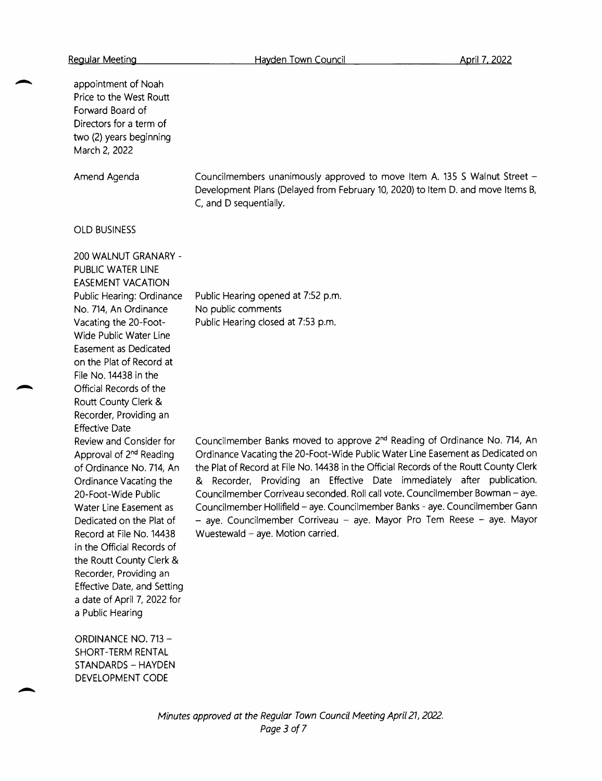appointment of Noah Price to the West Routt Forward Board of Directors for <sup>a</sup> term of two (2) years beginning March 2, 2022 Amend Agenda OLD BUSINESS 200 WALNUT GRANARY - PUBLIC WATER LINE EASEMENT VACATION Public Hearing: Ordinance No. 714, An Ordinance Vacating the 20-Foot-Wide Public Water Line Easement as Dedicated on the Plat of Record at File No. 14438 in the Official Records of the Routt County Clerk & Recorder, Providing an Effective Date Review and Consider for Approval of 2nd Reading of Ordinance No. 714, An Ordinance Vacating the 20-Foot-Wide Public Water Line Easement as Dedicated on the Plat of Record at File No. 14438 in the Official Records of the Routt County Clerk & Recorder, Providing an Effective Date, and Setting <sup>a</sup> date of April 7, 2022 for <sup>a</sup> Public Hearing ORDINANCE NO. 713 — Councilmembers unanimously approved to move Item A. 135 <sup>S</sup> Walnut Street — Development Plans (Delayed from February 10, 2020) to Item D. and move Items B, C, and <sup>D</sup> sequentially. Public Hearing opened at 7:52 p.m. No public comments Public Hearing closed at 7:53 p.m. Councilmember Banks moved to approve 2nd Reading of Ordinance No. 714, An Ordinance Vacating the 20 -Foot -Wide Public Water Line Easement as Dedicated on the Plat of Record at File No. 14438 in the Official Records of the Routt County Clerk Recorder, Providing an Effective Date immediately after publication. Councilmember Corriveau seconded. Roll call vote. Councilmember Bowman — aye. Councilmember Hollifield — aye. Councilmember Banks - aye. Councilmember Gann - aye. Councilmember Corriveau - aye. Mayor Pro Tem Reese - aye. Mayor Wuestewald — aye. Motion carried.

SHORT- TERM RENTAL STANDARDS — HAYDEN DEVELOPMENT CODE

> Minutes approved at the Regular Town Council Meeting April 21, 2022. Page 3 of 7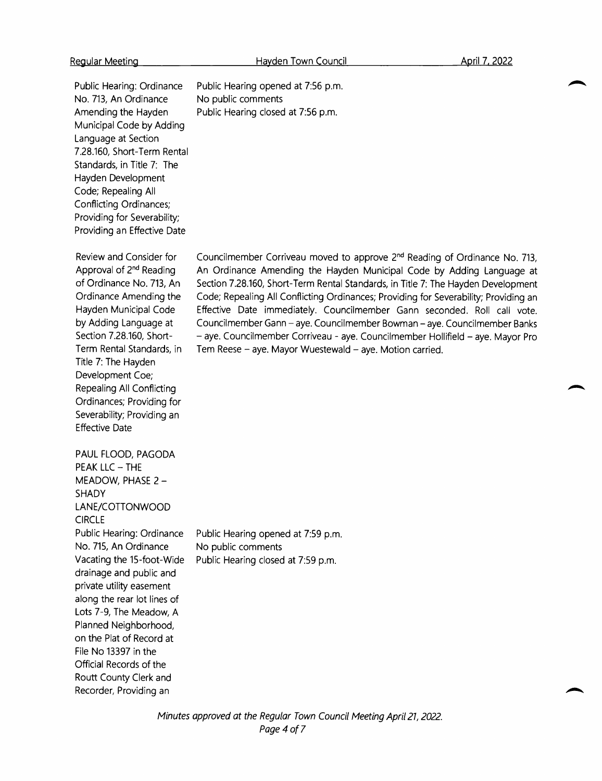Public Hearing: Ordinance No. 713, An Ordinance Amending the Hayden Municipal Code by Adding Language at Section 7.28.160, Short-Term Rental Standards, in Title 7: The Hayden Development Code; Repealing All Conflicting Ordinances; Providing for Severability; Providing an Effective Date

Review and Consider for Approval of 2nd Reading of Ordinance No. 713, An Ordinance Amending the Hayden Municipal Code by Adding Language at Section 7.28.160, Short-Term Rental Standards, in Title 7: The Hayden Development Coe; Repealing All Conflicting Ordinances; Providing for Severability; Providing an Effective Date

PAUL FLOOD, PAGODA PEAK LLC — THE MEADOW, PHASE 2 — SHADY LANE/COTTONWOOD **CIRCLE** Public Hearing: Ordinance No. 715, An Ordinance Vacating the 15-foot-Wide drainage and public and private utility easement along the rear lot lines of Lots 7-9, The Meadow, <sup>A</sup> Planned Neighborhood, on the Plat of Record at File No 13397 in the Official Records of the Routt County Clerk and Recorder, Providing an Public Hearing opened at 7:59 p.m. No public comments Public Hearing closed at 7:59 p.m.

Public Hearing opened at 7:56 p.m. No public comments Public Hearing closed at 7:56 p.m.

Councilmember Corriveau moved to approve 2nd Reading of Ordinance No. 713, An Ordinance Amending the Hayden Municipal Code by Adding Language at Section 7.28.160, Short-Term Rental Standards, in Title 7: The Hayden Development Code; Repealing All Conflicting Ordinances; Providing for Severability; Providing an Effective Date immediately. Councilmember Gann seconded. Roll call vote. Councilmember Gann — aye. Councilmember Bowman — aye. Councilmember Banks aye. Councilmember Corriveau - aye. Councilmember Hollifield — aye. Mayor Pro Tem Reese — aye. Mayor Wuestewald — aye. Motion carried.

Minutes approved at the Regular Town Council Meeting April 21, 2022. Page 4 of 7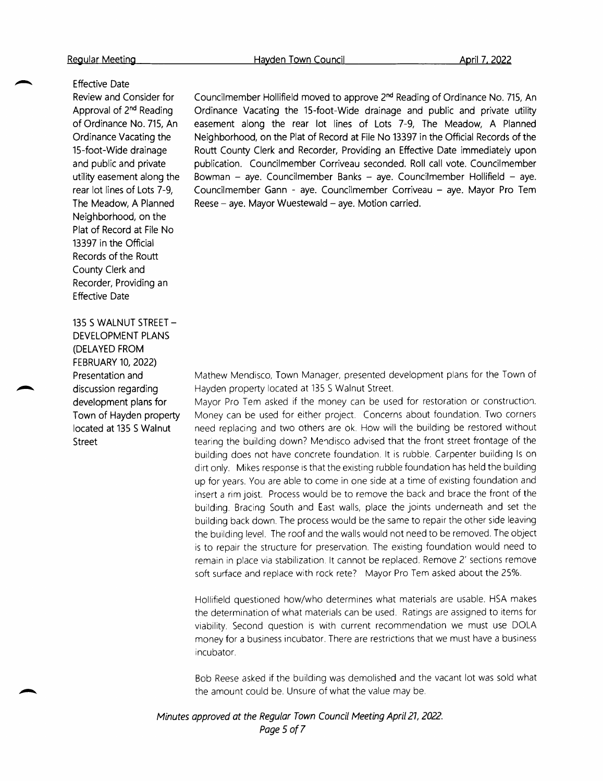## Effective Date

Review and Consider for Approval of 2nd Reading of Ordinance No. 715, An Ordinance Vacating the 15-foot-Wide drainage and public and private utility easement along the rear lot lines of Lots 7-9, The Meadow, A Planned Neighborhood, on the Plat of Record at File No 13397 in the Official Records of the Routt County Clerk and Recorder, Providing an Effective Date

135 <sup>S</sup> WALNUT STREET — DEVELOPMENT PLANS DELAYED FROM FEBRUARY 10, 2022) Presentation and discussion regarding development plans for Town of Hayden property located at 135 <sup>S</sup> Walnut Street

Councilmember Hollifield moved to approve 2nd Reading of Ordinance No. 715, An Ordinance Vacating the 15 -foot -Wide drainage and public and private utility easement along the rear lot lines of Lots 7-9, The Meadow, <sup>A</sup> Planned Neighborhood, on the Plat of Record at File No <sup>13397</sup> in the Official Records of the Routt County Clerk and Recorder, Providing an Effective Date immediately upon publication. Councilmember Corriveau seconded. Roll call vote. Councilmember Bowman — aye. Councilmember Banks — aye. Councilmember Hollifield — aye. Councilmember Gann - aye. Councilmember Corriveau — aye. Mayor Pro Tem Reese — aye. Mayor Wuestewald — aye. Motion carried.

Mathew Mendisco, Town Manager, presented development plans for the Town of Hayden property located at <sup>135</sup> <sup>5</sup> Walnut Street.

Mayor Pro Tem asked if the money can be used for restoration or construction. Money can be used for either project. Concerns about foundation. Two corners need replacing and two others are ok. How will the building be restored without tearing the building down? Mendisco advised that the front street frontage of the building does not have concrete foundation. It is rubble. Carpenter building Is on dirt only. Mikes response is that the existing rubble foundation has held the building up for years. You are able to come in one side at <sup>a</sup> time of existing foundation and insert <sup>a</sup> rim joist. Process would be to remove the back and brace the front of the building. Bracing South and East walls, place the joints underneath and set the building back down. The process would be the same to repair the other side leaving the building level. The roof and the walls would not need to be removed. The object is to repair the structure for preservation. The existing foundation would need to remain in place via stabilization. It cannot be replaced. Remove 2' sections remove soft surface and replace with rock rete? Mayor Pro Tem asked about the 25%.

Hollifield questioned how/who determines what materials are usable. HSA makes the determination of what materials can be used. Ratings are assigned to items for viability. Second question is with current recommendation we must use DOLA money for <sup>a</sup> business incubator. There are restrictions that we must have <sup>a</sup> business incubator.

Bob Reese asked if the building was demolished and the vacant lot was sold what the amount could be. Unsure of what the value may be.

Minutes approved at the Regular Town Council Meeting April21, 2022. Page 5 of 7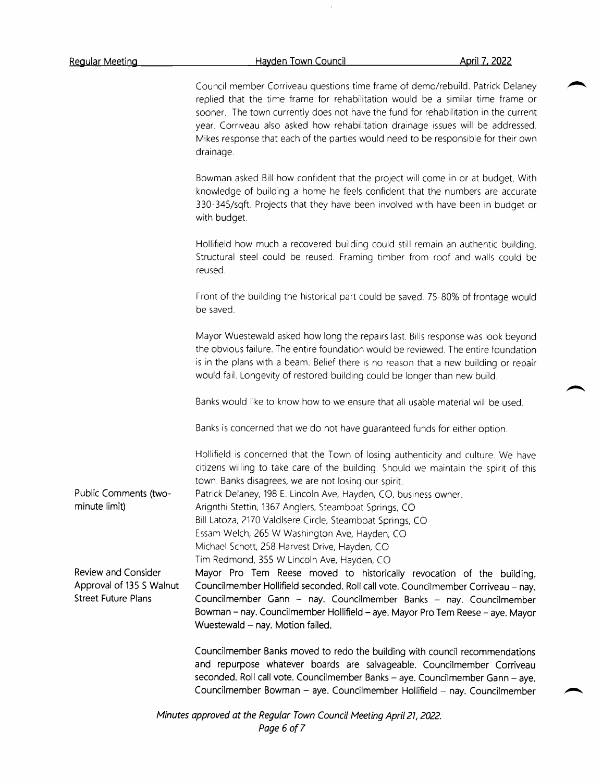Public Comments (twominute limit) Review and Consider Approval of <sup>135</sup> <sup>S</sup> Walnut Street Future Plans Council member Corriveau questions time frame of demo/rebuild. Patrick Delaney replied that the time frame for rehabilitation would be <sup>a</sup> similar time frame or sooner. The town currently does not have the fund for rehabilitation in the current year. Corriveau also asked how rehabilitation drainage issues will be addressed. Mikes response that each of the parties would need to be responsible for their own drainage. Bowman asked Bill how confident that the project will come in or at budget. With knowledge of building <sup>a</sup> home he feels confident that the numbers are accurate 330-345/ sqft. Projects that they have been involved with have been in budget or with budget. Hollifield how much <sup>a</sup> recovered building could still remain an authentic building. Structural steel could be reused. Framing timber from roof and walls could be reused. Front of the building the historical part could be saved. 75- 80% of frontage would be saved. Mayor Wuestewald asked how long the repairs last. Bills response was look beyond the obvious failure. The entire foundation would be reviewed. The entire foundation is in the plans with <sup>a</sup> beam. Belief there is no reason that <sup>a</sup> new building or repair would fail. Longevity of restored building could be longer than new build. Banks would like to know how to we ensure that all usable material will be used. Banks is concerned that we do not have guaranteed funds for either option. Hollifield is concerned that the Town of losing authenticity and culture. We have citizens willing to take care of the building. Should we maintain the spirit of this town. Banks disagrees, we are not losing our spirit. Patrick Delaney, <sup>198</sup> E. Lincoln Ave, Hayden, CO, business owner. Arignthi Stettin, 1367 Anglers, Steamboat Springs, CO Bill Latoza, 2170 Valdlsere Circle, Steamboat Springs, CO Essam Welch, 265 W Washington Ave, Hayden, CO Michael Schott, 258 Harvest Drive, Hayden, CO Tim Redmond, <sup>355</sup> W Lincoln Ave, Hayden, CO Mayor Pro Tem Reese moved to historically revocation of the building. Councilmember Hollifield seconded. Roll call vote. Councilmember Corriveau — nay. Councilmember Gann — nay. Councilmember Banks — nay. Councilmember Bowman — nay. Councilmember Hollifield — aye. Mayor Pro Tem Reese — aye. Mayor Wuestewald — nay. Motion failed. Councilmember Banks moved to redo the building with council recommendations and repurpose whatever boards are salvageable. Councilmember Corriveau seconded. Roll call vote. Councilmember Banks — aye. Councilmember Gann — aye. Councilmember Bowman — aye. Councilmember Hollifield — nay. Councilmember

Minutes approved at the Regular Town Council Meeting April 21, 2022. Page 6 of 7